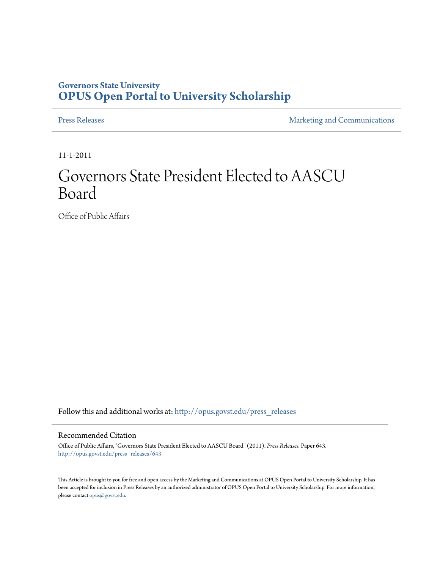## **Governors State University [OPUS Open Portal to University Scholarship](http://opus.govst.edu?utm_source=opus.govst.edu%2Fpress_releases%2F643&utm_medium=PDF&utm_campaign=PDFCoverPages)**

[Press Releases](http://opus.govst.edu/press_releases?utm_source=opus.govst.edu%2Fpress_releases%2F643&utm_medium=PDF&utm_campaign=PDFCoverPages) **[Marketing and Communications](http://opus.govst.edu/marketing_comm?utm_source=opus.govst.edu%2Fpress_releases%2F643&utm_medium=PDF&utm_campaign=PDFCoverPages)** 

11-1-2011

# Governors State President Elected to AASCU Board

Office of Public Affairs

Follow this and additional works at: [http://opus.govst.edu/press\\_releases](http://opus.govst.edu/press_releases?utm_source=opus.govst.edu%2Fpress_releases%2F643&utm_medium=PDF&utm_campaign=PDFCoverPages)

### Recommended Citation

Office of Public Affairs, "Governors State President Elected to AASCU Board" (2011). *Press Releases.* Paper 643. [http://opus.govst.edu/press\\_releases/643](http://opus.govst.edu/press_releases/643?utm_source=opus.govst.edu%2Fpress_releases%2F643&utm_medium=PDF&utm_campaign=PDFCoverPages)

This Article is brought to you for free and open access by the Marketing and Communications at OPUS Open Portal to University Scholarship. It has been accepted for inclusion in Press Releases by an authorized administrator of OPUS Open Portal to University Scholarship. For more information, please contact [opus@govst.edu](mailto:opus@govst.edu).